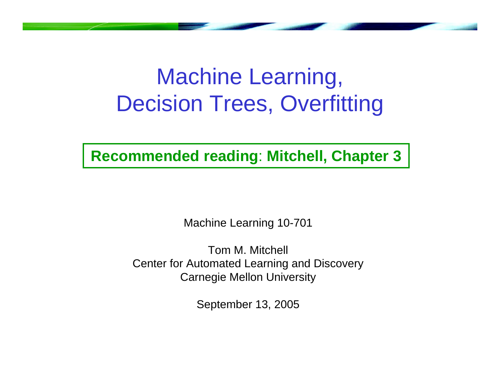## Machine Learning, Decision Trees, Overfitting

**Recommended reading**: **Mitchell, Chapter 3**

Machine Learning 10-701

Tom M. Mitchell Center for Automated Learning and Discovery Carnegie Mellon University

September 13, 2005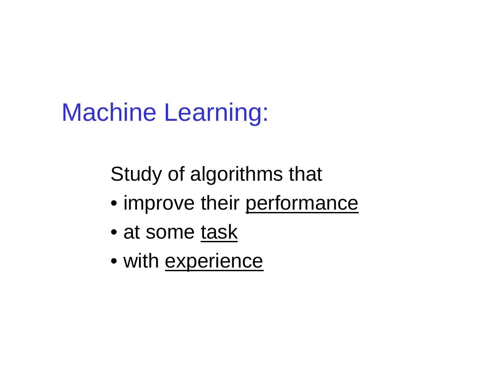# Machine Learning:

Study of algorithms that

- improve their performance
- at some task
- with <u>experience</u>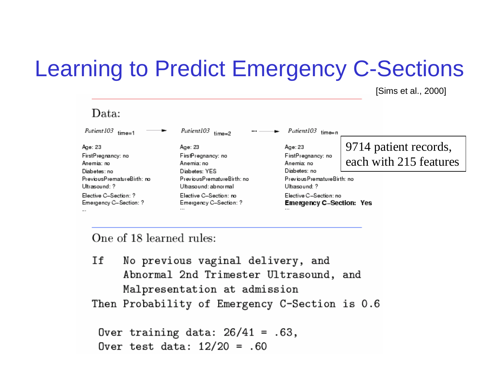## Learning to Predict Emergency C-Sections

[Sims et al., 2000]

| $\it Data:$                                                                                                |                                                                                                                    |                                                                                                               |                                                 |
|------------------------------------------------------------------------------------------------------------|--------------------------------------------------------------------------------------------------------------------|---------------------------------------------------------------------------------------------------------------|-------------------------------------------------|
| Patient 103<br>$time=1$                                                                                    | Patient103<br>$\cdots$<br>$time = 2$                                                                               | Patient103<br>time=n                                                                                          |                                                 |
| Age: 23<br>FirstPregnancy: no<br>Anemia: no<br>Diabetes: no<br>PreviousPrematureBirth: no<br>Ultrasound: ? | Age: 23<br>FirstPregnancy: no<br>Anemia: no<br>Diabetes: YES<br>PreviousPrematureBirth: no<br>Ultrasound: abnormal | Age: 23<br>FirstPregnancy: no<br>Anemia: no<br>Diabetes: no<br>Previous Premature Birth: no<br>Ultrasound: ?- | 9714 patient records,<br>each with 215 features |
| Elective C-Section: ?<br>Emergency C-Section: ?<br>$\cdots$                                                | Elective C–Section: no<br>Emergency C-Section: ?<br>$\cdots$                                                       | Elective C–Section: no<br>Emergency C-Section: Yes<br>                                                        |                                                 |

One of 18 learned rules:

Ιf No previous vaginal delivery, and Abnormal 2nd Trimester Ultrasound, and Malpresentation at admission

Then Probability of Emergency C-Section is 0.6

Over training data:  $26/41 = .63$ , Over test data:  $12/20 = .60$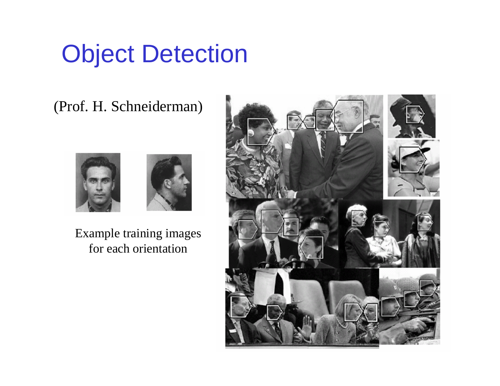## Object Detection

#### (Prof. H. Schneiderman)



Example training images for each orientation

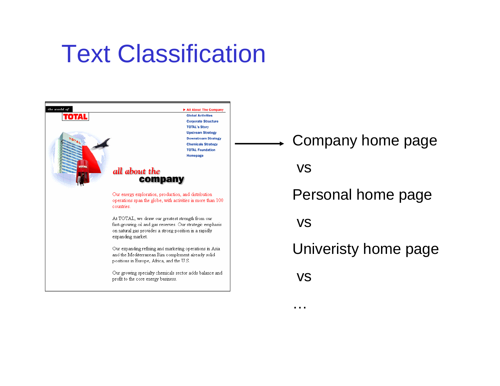## Text Classification



Company home page

vs

Personal home page

vs

Univeristy home page

vs

…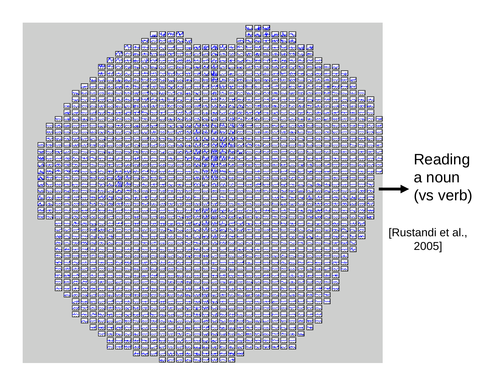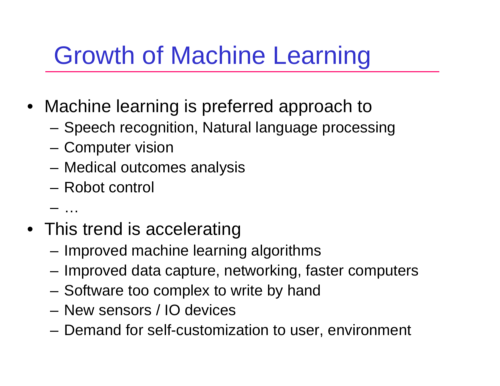# Growth of Machine Learning

- Machine learning is preferred approach to
	- Speech recognition, Natural language processing
	- Computer vision
	- Medical outcomes analysis
	- Robot control
	- –…
- This trend is accelerating
	- Improved machine learning algorithms
	- Improved data capture, networking, faster computers
	- –Software too complex to write by hand
	- New sensors / IO devices
	- Demand for self-customization to user, environment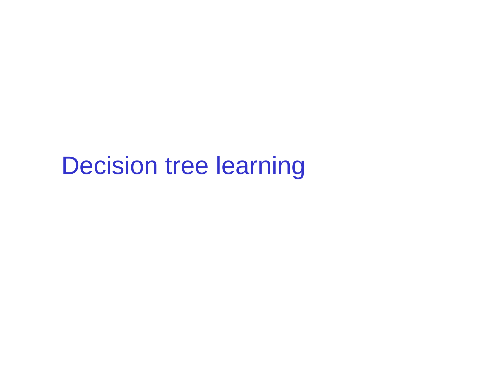## Decision tree learning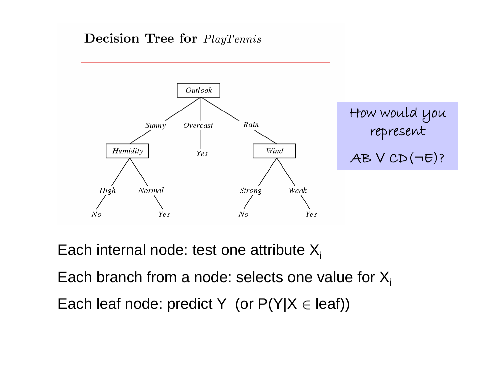#### **Decision Tree for** PlayTennis



Each internal node: test one attribute  $X_i$ 

Each branch from a node: selects one value for  $X_i$ 

Each leaf node: predict Y  $($ or P(Y|X  $\in$  leaf))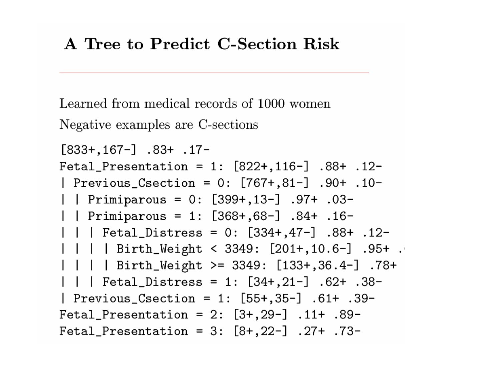#### A Tree to Predict C-Section Risk

Learned from medical records of 1000 women Negative examples are C-sections

```
[833+, 167-] .83+ .17-
Fetal_Presentation = 1: [822+,116-] .88+ .12-
| Previous_Csection = 0: [767+,81-] .90+ .10-
-03. +97. [-13-] Primiparous = 0: [399+,13-] |
| | Primiparous = 1: [368+, 68-] .84+ .16-
|  |  | Fetal_Distress = 0: [334+,47-] .88+ .12-
| | | | Birth_Weight < 3349: [201+,10.6-] .95+ .
| | | | Birth_Weight >= 3349: [133+,36.4-] .78+
|  |  | Fetal_Distress = 1: [34+,21-] .62+ .38-
| Previous_Csection = 1: [55+,35-] .61+ .39-
Fetal_Presentation = 2: [3+, 29-] .11+ .89-
Fetal_Presentation = 3: [8+, 22-] .27+ .73-
```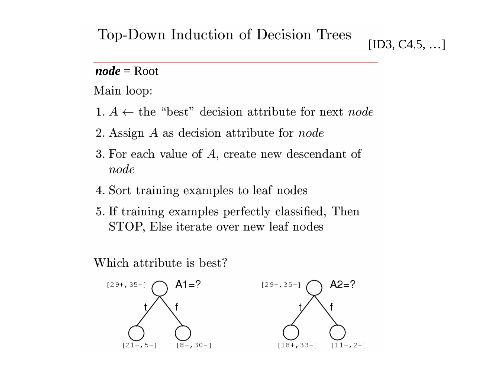#### Top-Down Induction of Decision Trees

 $[ID3, C4.5, ...]$ 

#### $node = Root$

Main loop:

- 1.  $A \leftarrow$  the "best" decision attribute for next node
- 2. Assign  $A$  as decision attribute for node
- 3. For each value of A, create new descendant of node
- 4. Sort training examples to leaf nodes
- 5. If training examples perfectly classified, Then STOP, Else iterate over new leaf nodes

Which attribute is best?

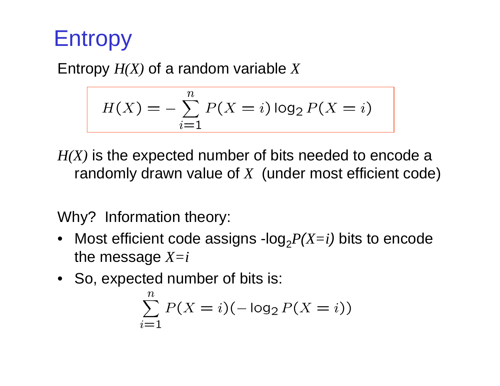## Entropy

Entropy *H(X)* of a random variable *<sup>X</sup>*

$$
H(X) = -\sum_{i=1}^{n} P(X = i) \log_2 P(X = i)
$$

*H(X)* is the expected number of bits needed to encode a randomly drawn value of *<sup>X</sup>* (under most efficient code)

Why? Information theory:

- Most efficient code assigns -log $_2P(X=i)$  bits to encode the message  $X=i$
- So, expected number of bits is:

$$
\sum_{i=1}^{n} P(X = i)(-\log_2 P(X = i))
$$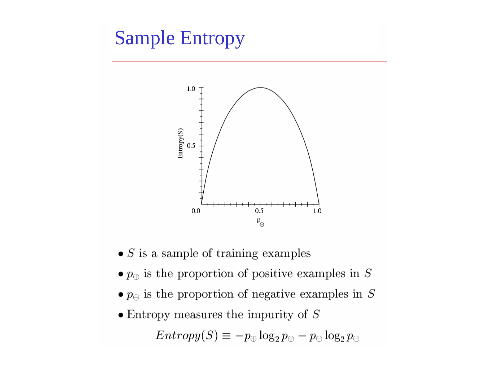### **Sample Entropy**



- $\bullet$   $S$  is a sample of training examples
- $\bullet$   $p_{\oplus}$  is the proportion of positive examples in S
- $\bullet$   $p_{\ominus}$  is the proportion of negative examples in S
- $\bullet$  Entropy measures the impurity of  $S$

 $Entropy(S) \equiv -p_{\oplus} \log_2 p_{\oplus} - p_{\ominus} \log_2 p_{\ominus}$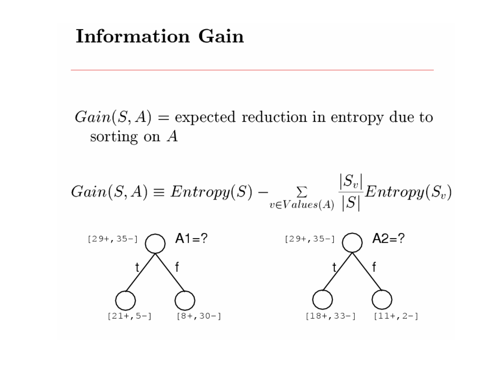### **Information Gain**

 $Gain(S, A)$  = expected reduction in entropy due to sorting on  $A$ 

$$
Gain(S, A) \equiv Entropy(S) - \sum_{v \in Values(A)} \frac{|S_v|}{|S|} Entropy(S_v)
$$



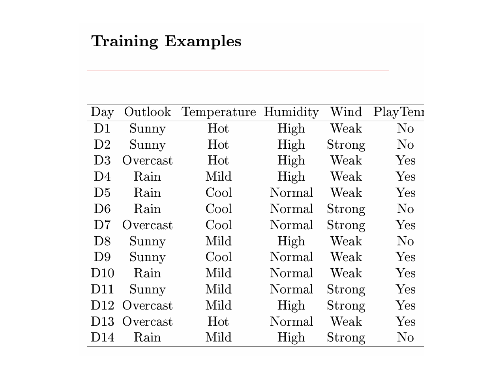#### **Training Examples**

| Day             | Outlook  | Temperature Humidity |        | $\operatorname{Wind}$ | PlayTenr |
|-----------------|----------|----------------------|--------|-----------------------|----------|
| D1              | Sunny    | Hot                  | High   | Weak                  | $\rm No$ |
| D <sub>2</sub>  | Sunny    | Hot                  | High   | Strong                | $\rm No$ |
| D <sub>3</sub>  | Overcast | Hot                  | High   | Weak                  | Yes      |
| D <sub>4</sub>  | Rain     | Mild                 | High   | Weak                  | Yes      |
| D <sub>5</sub>  | Rain     | Cool                 | Normal | Weak                  | Yes      |
| D <sub>6</sub>  | Rain     | Cool                 | Normal | Strong                | $\rm No$ |
| D7              | Overcast | Cool                 | Normal | Strong                | Yes      |
| D <sup>8</sup>  | Sunny    | Mild                 | High   | Weak                  | $\rm No$ |
| D9              | Sunny    | Cool                 | Normal | Weak                  | Yes      |
| D10             | Rain     | Mild                 | Normal | $\operatorname{Weak}$ | Yes      |
| D11             | Sunny    | Mild                 | Normal | Strong                | Yes      |
| D <sub>12</sub> | Overcast | Mild                 | High   | Strong                | Yes      |
| D13             | Overcast | Hot                  | Normal | Weak                  | Yes      |
| D <sub>14</sub> | Rain     | Mild                 | High   | Strong                | $\rm No$ |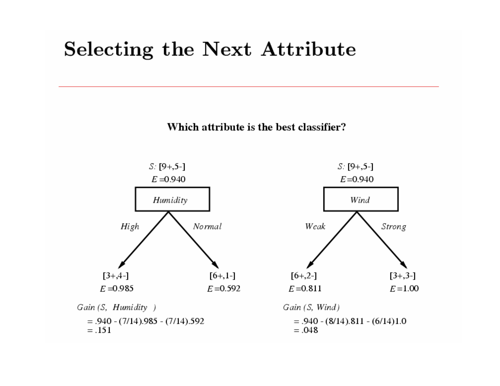### **Selecting the Next Attribute**

Which attribute is the best classifier?

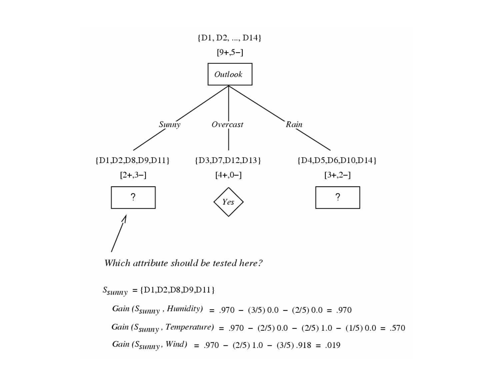

Which attribute should be tested here?

 $S_{\textit{sumny}} = \{\textit{D1},\textit{D2},\textit{D8},\textit{D9},\textit{D11}\}$ 

Gain ( $S_{\text{sumny}}$ , Humidity) = .970 - (3/5) 0.0 - (2/5) 0.0 = .970 Gain ( $S_{\text{sumny}}$ , Temperature) = .970 - (2/5) 0.0 - (2/5) 1.0 - (1/5) 0.0 = .570 Gain ( $S_{\text{Sunny}}$ , Wind) = .970 – (2/5) 1.0 – (3/5) .918 = .019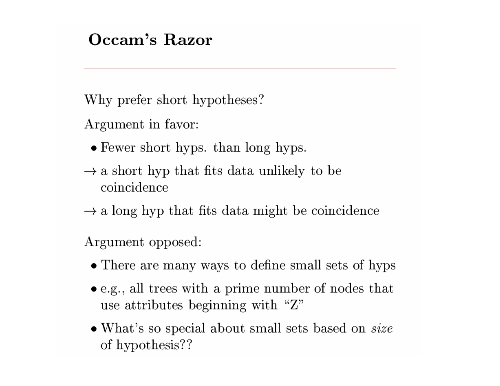#### Occam's Razor

Why prefer short hypotheses?

Argument in favor:

- Fewer short hyps. than long hyps.
- $\rightarrow$  a short hyp that fits data unlikely to be coincidence
- $\rightarrow$  a long hyp that fits data might be coincidence

Argument opposed:

- There are many ways to define small sets of hyps
- $\bullet$  e.g., all trees with a prime number of nodes that use attributes beginning with "Z"
- What's so special about small sets based on *size* of hypothesis??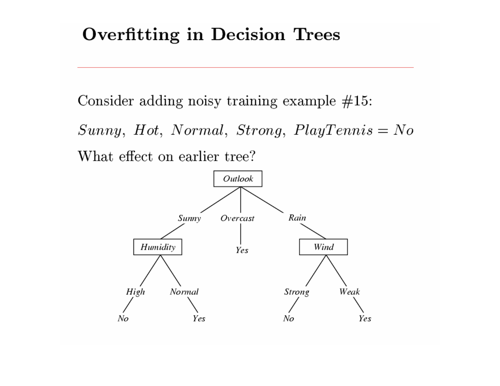#### **Overfitting in Decision Trees**

Consider adding noisy training example  $#15$ :

 $Sunny, Hot, Normal, Strong, PlayTennis = No$ What effect on earlier tree?

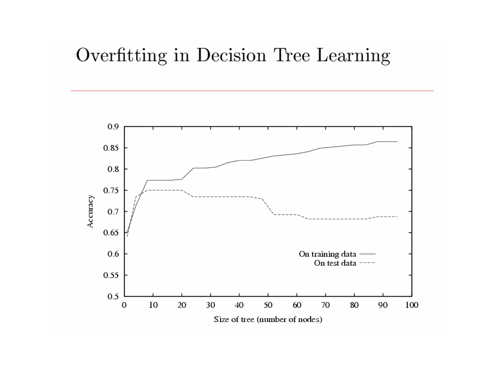#### Overfitting in Decision Tree Learning

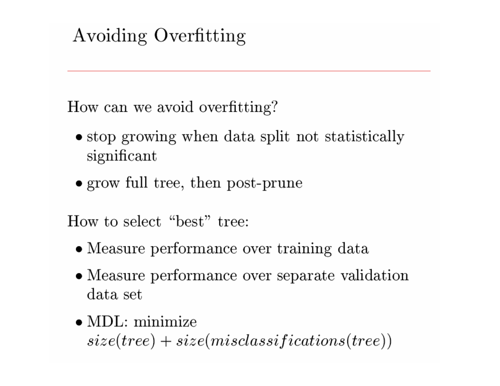### Avoiding Overfitting

How can we avoid overfitting?

- stop growing when data split not statistically significant
- grow full tree, then post-prune

How to select "best" tree:

- Measure performance over training data
- Measure performance over separate validation data set
- $\bullet$  MDL: minimize

 $size(tree) + size(misclassifications(tree))$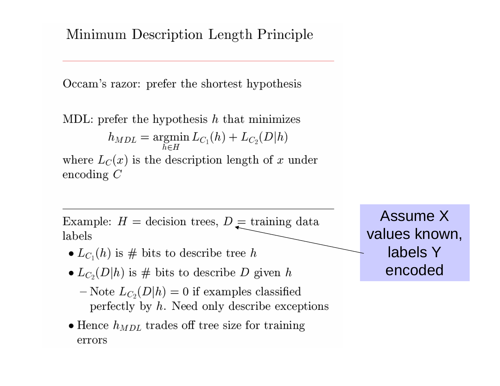Minimum Description Length Principle

Occam's razor: prefer the shortest hypothesis

MDL: prefer the hypothesis  $h$  that minimizes

$$
h_{MDL} = \operatornamewithlimits{argmin}\limits_{h \in H} L_{C_1}(h) + L_{C_2}(D|h)
$$

where  $L_C(x)$  is the description length of x under encoding  $C$ 

Example:  $H =$  decision trees,  $D =$  training data labels

- $L_{C_1}(h)$  is # bits to describe tree h
- $L_{C_2}(D|h)$  is # bits to describe D given h
	- $-\text{Note } L_{C_2}(D|h) = 0$  if examples classified perfectly by  $h$ . Need only describe exceptions
- $\bullet$  Hence  $h_{MDL}$  trades off tree size for training errors

**Assume X** values known, labels Y encoded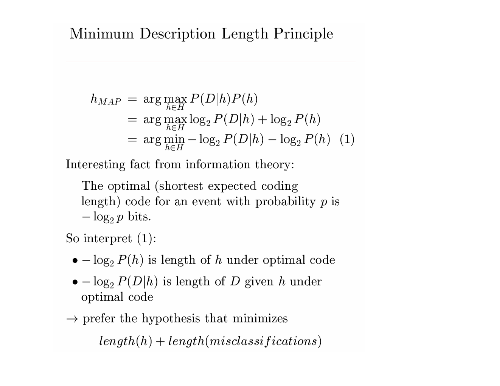#### Minimum Description Length Principle

$$
h_{MAP} = \arg \max_{h \in H} P(D|h)P(h)
$$
  
= 
$$
\arg \max_{h \in H} \log_2 P(D|h) + \log_2 P(h)
$$
  
= 
$$
\arg \min_{h \in H} - \log_2 P(D|h) - \log_2 P(h)
$$
 (1)

Interesting fact from information theory:

The optimal (shortest expected coding) length) code for an event with probability  $p$  is  $-\log_2 p$  bits.

So interpret  $(1)$ :

- $\bullet$   $\log_2 P(h)$  is length of h under optimal code
- $\bullet$   $\log_2 P(D|h)$  is length of D given h under optimal code
- $\rightarrow$  prefer the hypothesis that minimizes

 $length(h) + length(misclassifications)$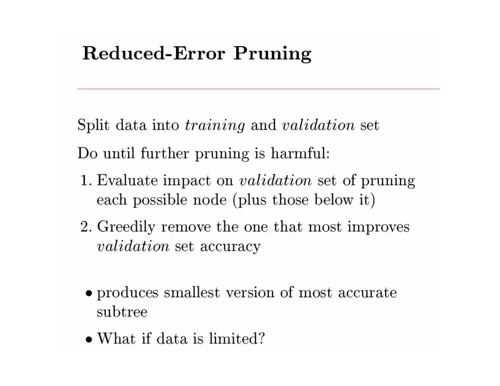### **Reduced-Error Pruning**

Split data into *training* and *validation* set

Do until further pruning is harmful:

- 1. Evaluate impact on *validation* set of pruning each possible node (plus those below it)
- 2. Greedily remove the one that most improves *validation* set accuracy
- produces smallest version of most accurate subtree
- $\bullet$  What if data is limited?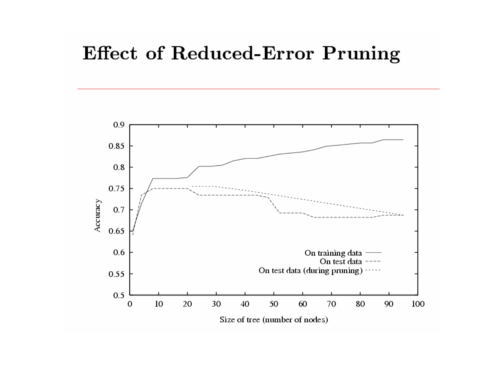#### **Effect of Reduced-Error Pruning**

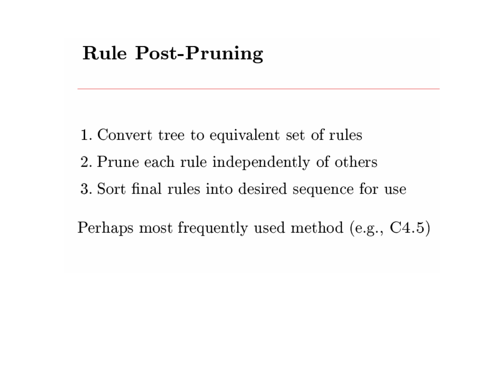### **Rule Post-Pruning**

- 1. Convert tree to equivalent set of rules
- 2. Prune each rule independently of others
- 3. Sort final rules into desired sequence for use

Perhaps most frequently used method (e.g., C4.5)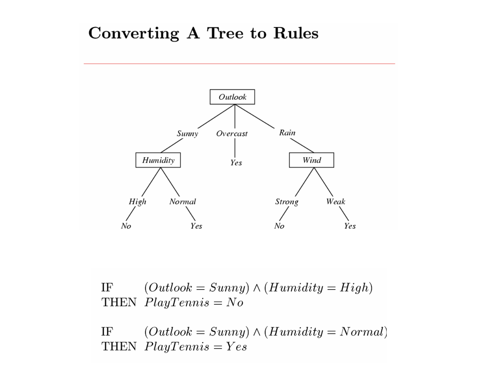#### Converting A Tree to Rules



IF  $(Outlook = Sunny) \wedge (Humidity = High)$ THEN  $PlayTennis = No$ 

 $(Outlook = Sunny) \wedge (Humidity = Normal)$ IF THEN  $PlayTennis = Yes$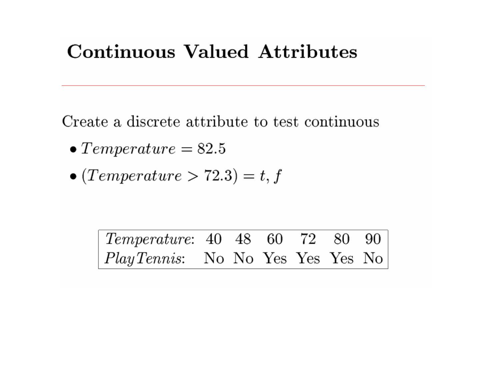### **Continuous Valued Attributes**

Create a discrete attribute to test continuous

- $\bullet$  Temperature = 82.5
- $\bullet$  (Temperature > 72.3) = t, f

 $\label{eq:temperature} Temperature: \enskip 40 \enskip \enskip 48 \enskip \enskip 60 \enskip \enskip 72$ 80 90 PlayTennis: No No Yes Yes Yes No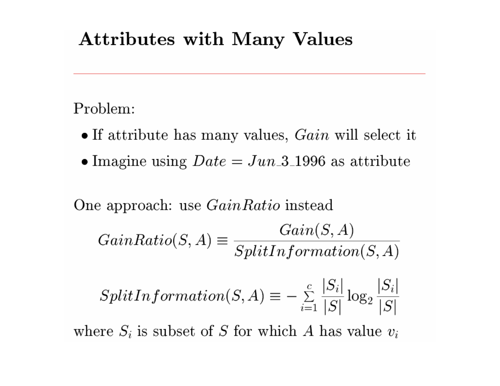### **Attributes with Many Values**

Problem:

- If attribute has many values,  $Gain$  will select it
- Imagine using  $Date = Jun_3_1996$  as attribute

One approach: use *GainRatio* instead

$$
GainRatio(S, A) \equiv \frac{Gain(S, A)}{SplitInformation(S, A)}
$$

$$
SplitInformation(S, A) \equiv -\sum_{i=1}^{c} \frac{|S_i|}{|S|} \log_2 \frac{|S_i|}{|S|}
$$

where  $S_i$  is subset of S for which A has value  $v_i$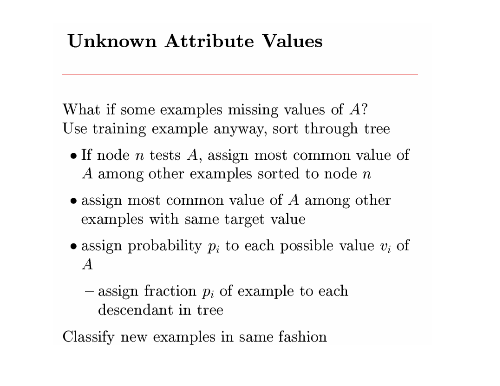### Unknown Attribute Values

What if some examples missing values of  $A$ ? Use training example anyway, sort through tree

- If node *n* tests  $A$ , assign most common value of A among other examples sorted to node  $n$
- $\bullet$  assign most common value of A among other examples with same target value
- assign probability  $p_i$  to each possible value  $v_i$  of  $\boldsymbol{A}$ 
	- $-$  assign fraction  $p_i$  of example to each descendant in tree

Classify new examples in same fashion